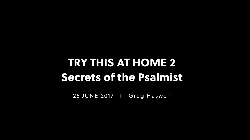25 JUNE 2017 I Greg Haswell

### TRY THIS AT HOME 2 Secrets of the Psalmist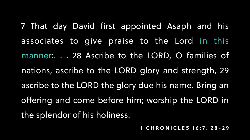- 7 That day David first appointed Asaph and his
- associates to give praise to the Lord in this
- manner:. . . 28 Ascribe to the LORD, O families of
- nations, ascribe to the LORD glory and strength, 29
- ascribe to the LORD the glory due his name. Bring an
- offering and come before him; worship the LORD in
	-
- **1 CHRONICLES 16:7, 28-29**

the splendor of his holiness.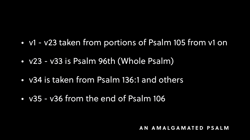**AN AMALGAMATED PSALM**

• v1 - v23 taken from portions of Psalm 105 from v1 on

- 
- v23 v33 is Psalm 96th (Whole Psalm)
- v34 is taken from Psalm 136:1 and others
- v35 v36 from the end of Psalm 106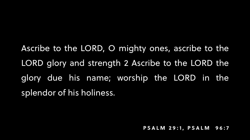#### **PSALM 29:1 , PSALM 96:7**

### Ascribe to the LORD, O mighty ones, ascribe to the LORD glory and strength 2 Ascribe to the LORD the glory due his name; worship the LORD in the

splendor of his holiness.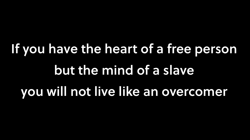# If you have the heart of a free person but the mind of a slave you will not live like an overcomer

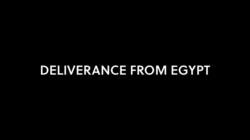### DELIVERANCE FROM EGYPT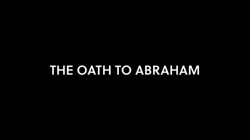### THE OATH TO ABRAHAM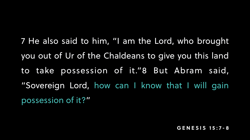#### **GENESIS 15:7-8**

7 He also said to him, "I am the Lord, who brought you out of Ur of the Chaldeans to give you this land to take possession of it."8 But Abram said, "Sovereign Lord, how can I know that I will gain possession of it?"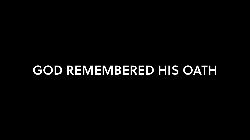### GOD REMEMBERED HIS OATH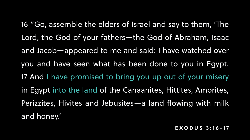#### **EXODUS 3:16-17**

- 16 "Go, assemble the elders of Israel and say to them, 'The Lord, the God of your fathers—the God of Abraham, Isaac and Jacob—appeared to me and said: I have watched over
- you and have seen what has been done to you in Egypt.
- 17 And I have promised to bring you up out of your misery
- in Egypt into the land of the Canaanites, Hittites, Amorites,
- Perizzites, Hivites and Jebusites—a land flowing with milk
- and honey.'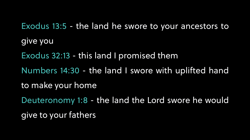### Exodus 13:5 - the land he swore to your ancestors to

### Numbers 14:30 - the land I swore with uplifted hand

give you Exodus 32:13 - this land I promised them to make your home give to your fathers

### Deuteronomy 1:8 - the land the Lord swore he would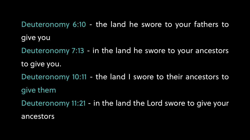Deuteronomy 6:10 - the land he swore to your fathers to give you Deuteronomy 7:13 - in the land he swore to your ancestors to give you. Deuteronomy 10:11 - the land I swore to their ancestors to give them Deuteronomy 11:21 - in the land the Lord swore to give your ancestors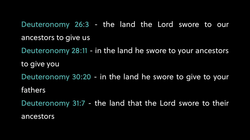#### Deuteronomy 26:3 - the land the Lord swore to our

### Deuteronomy 28:11 - in the land he swore to your ancestors

ancestors to give us to give you fathers ancestors

#### Deuteronomy 30:20 - in the land he swore to give to your

### Deuteronomy 31:7 - the land that the Lord swore to their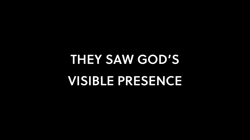## THEY SAW GOD'S VISIBLE PRESENCE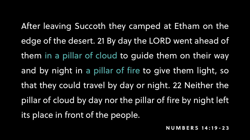#### **NUMBERS 14:19-23**

its place in front of the people.

After leaving Succoth they camped at Etham on the edge of the desert. 21 By day the LORD went ahead of them in a pillar of cloud to guide them on their way and by night in a pillar of fire to give them light, so that they could travel by day or night. 22 Neither the pillar of cloud by day nor the pillar of fire by night left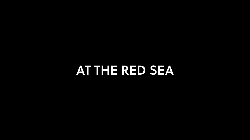AT THE RED SEA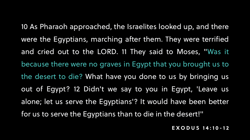**EXODUS 14:10-12**

10 As Pharaoh approached, the Israelites looked up, and there were the Egyptians, marching after them. They were terrified and cried out to the LORD. 11 They said to Moses, "Was it because there were no graves in Egypt that you brought us to the desert to die? What have you done to us by bringing us out of Egypt? 12 Didn't we say to you in Egypt, 'Leave us alone; let us serve the Egyptians'? It would have been better for us to serve the Egyptians than to die in the desert!"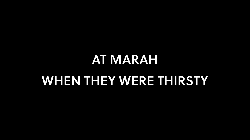### AT MARAH WHEN THEY WERE THIRSTY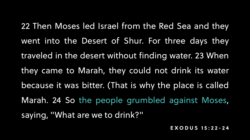**EXODUS 15:22-24**

22 Then Moses led Israel from the Red Sea and they went into the Desert of Shur. For three days they traveled in the desert without finding water. 23 When they came to Marah, they could not drink its water because it was bitter. (That is why the place is called Marah. 24 So the people grumbled against Moses,

saying, "What are we to drink?"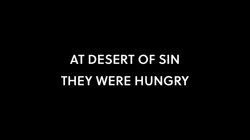## AT DESERT OF SIN THEY WERE HUNGRY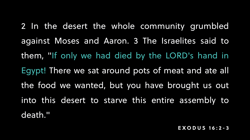#### **EXODUS 16: 2-3**

2 In the desert the whole community grumbled against Moses and Aaron. 3 The Israelites said to them, "If only we had died by the LORD's hand in Egypt! There we sat around pots of meat and ate all the food we wanted, but you have brought us out into this desert to starve this entire assembly to death."

- 
- 
- 
- 
-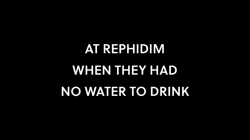# AT REPHIDIM WHEN THEY HAD NO WATER TO DRINK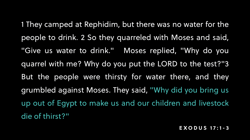#### **EXODUS 17:1 - 3**

1 They camped at Rephidim, but there was no water for the people to drink. 2 So they quarreled with Moses and said, "Give us water to drink." Moses replied, "Why do you quarrel with me? Why do you put the LORD to the test?"3 But the people were thirsty for water there, and they grumbled against Moses. They said, "Why did you bring us up out of Egypt to make us and our children and livestock

die of thirst?"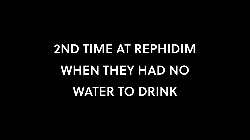# 2ND TIME AT REPHIDIM WHEN THEY HAD NO WATER TO DRINK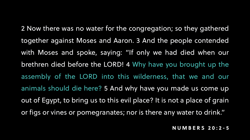#### **NUMBERS 20:2 - 5**

2 Now there was no water for the congregation; so they gathered together against Moses and Aaron. 3 And the people contended with Moses and spoke, saying: "If only we had died when our brethren died before the LORD! 4 Why have you brought up the assembly of the LORD into this wilderness, that we and our animals should die here? 5 And why have you made us come up out of Egypt, to bring us to this evil place? It is not a place of grain or figs or vines or pomegranates; nor is there any water to drink."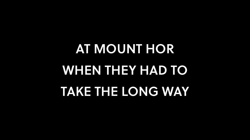# AT MOUNT HOR WHEN THEY HAD TO TAKE THE LONG WAY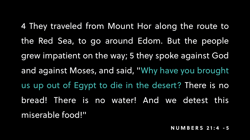#### **NUMBERS 21:4 - 5**

4 They traveled from Mount Hor along the route to the Red Sea, to go around Edom. But the people grew impatient on the way; 5 they spoke against God and against Moses, and said, "Why have you brought us up out of Egypt to die in the desert? There is no bread! There is no water! And we detest this miserable food!"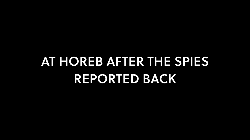### AT HOREB AFTER THE SPIES REPORTED BACK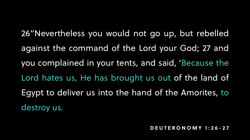**DEUTERONOMY 1:2 6-27**

- 26"Nevertheless you would not go up, but rebelled against the command of the Lord your God; 27 and
- you complained in your tents, and said, 'Because the
- Lord hates us, He has brought us out of the land of
- Egypt to deliver us into the hand of the Amorites, to

destroy us.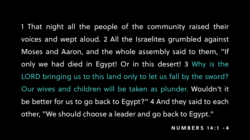- 1 That night all the people of the community raised their voices and wept aloud. 2 All the Israelites grumbled against Moses and Aaron, and the whole assembly said to them, "If only we had died in Egypt! Or in this desert! 3 Why is the LORD bringing us to this land only to let us fall by the sword? Our wives and children will be taken as plunder. Wouldn't it be better for us to go back to Egypt?" 4 And they said to each other, "We should choose a leader and go back to Egypt."
	- **NUMBERS 14:1 4**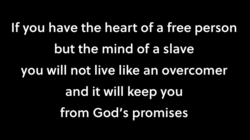If you have the heart of a free person but the mind of a slave you will not live like an overcomer and it will keep you from God's promises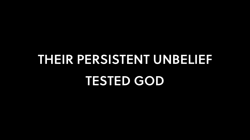### THEIR PERSISTENT UNBELIEF TESTED GOD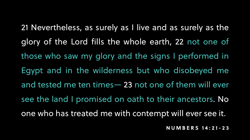- 21 Nevertheless, as surely as I live and as surely as the
- glory of the Lord fills the whole earth, 22 not one of
- those who saw my glory and the signs I performed in
- Egypt and in the wilderness but who disobeyed me
- and tested me ten times— 23 not one of them will ever
- see the land I promised on oath to their ancestors. No
- one who has treated me with contempt will ever see it.
	- **NUMBERS 14:21 -23**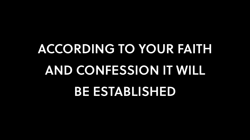# ACCORDING TO YOUR FAITH AND CONFESSION IT WILL BE ESTABLISHED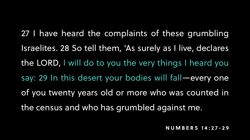**NUMBERS 14:27- 2 9**

27 I have heard the complaints of these grumbling

- Israelites. 28 So tell them, 'As surely as I live, declares the LORD, I will do to you the very things I heard you say: 29 In this desert your bodies will fall—every one of you twenty years old or more who was counted in
- the census and who has grumbled against me.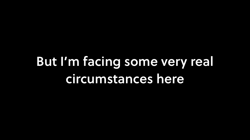### But I'm facing some very real circumstances here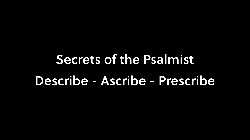## Secrets of the Psalmist Describe - Ascribe - Prescribe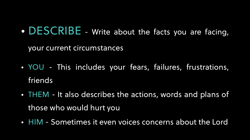### • DESCRIBE - Write about the facts you are facing,

your current circumstances

### • YOU - This includes your fears, failures, frustrations,

- friends
- THEM It also describes the actions, words and plans of those who would hurt you
- HIM Sometimes it even voices concerns about the Lord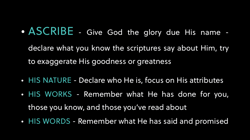- ASCRIBE Give God the glory due His name declare what you know the scriptures say about Him, try to exaggerate His goodness or greatness
- HIS NATURE Declare who He is, focus on His attributes
- HIS WORKS Remember what He has done for you,
	- those you know, and those you've read about
- HIS WORDS Remember what He has said and promised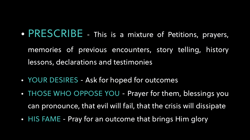- PRESCRIBE This is a mixture of Petitions, prayers, memories of previous encounters, story telling, history lessons, declarations and testimonies
- YOUR DESIRES Ask for hoped for outcomes
- THOSE WHO OPPOSE YOU Prayer for them, blessings you
	- can pronounce, that evil will fail, that the crisis will dissipate
- HIS FAME Pray for an outcome that brings Him glory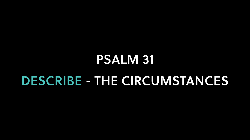### PSALM 31 DESCRIBE - THE CIRCUMSTANCES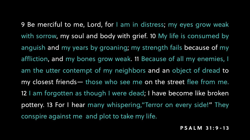**PSALM 31 :9-13**

conspire against me and plot to take my life.

- 9 Be merciful to me, Lord, for I am in distress; my eyes grow weak
- with sorrow, my soul and body with grief. 10 My life is consumed by
- anguish and my years by groaning; my strength fails because of my
- affliction, and my bones grow weak. 11 Because of all my enemies, I
- am the utter contempt of my neighbors and an object of dread to
- my closest friends— those who see me on the street flee from me.
- 12 I am forgotten as though I were dead; I have become like broken
- pottery. 13 For I hear many whispering,"Terror on every side!" They
	-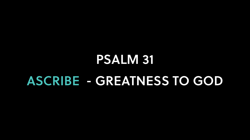### PSALM 31 ASCRIBE - GREATNESS TO GOD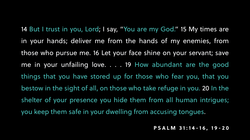**PSALM 31 :14-16, 19-20**

14 But I trust in you, Lord; I say, "You are my God." 15 My times are in your hands; deliver me from the hands of my enemies, from those who pursue me. 16 Let your face shine on your servant; save me in your unfailing love. . . . 19 How abundant are the good things that you have stored up for those who fear you, that you bestow in the sight of all, on those who take refuge in you. 20 In the shelter of your presence you hide them from all human intrigues; you keep them safe in your dwelling from accusing tongues.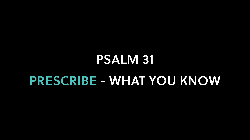### PSALM 31 PRESCRIBE - WHAT YOU KNOW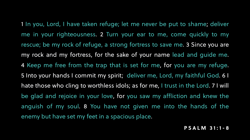#### **PSALM 31 :1-8**

1 In you, Lord, I have taken refuge; let me never be put to shame; deliver me in your righteousness. 2 Turn your ear to me, come quickly to my rescue; be my rock of refuge, a strong fortress to save me. 3 Since you are my rock and my fortress, for the sake of your name lead and guide me. 4 Keep me free from the trap that is set for me, for you are my refuge. 5 Into your hands I commit my spirit; deliver me, Lord, my faithful God. 6 I hate those who cling to worthless idols; as for me, I trust in the Lord. 7 I will be glad and rejoice in your love, for you saw my affliction and knew the anguish of my soul. 8 You have not given me into the hands of the enemy but have set my feet in a spacious place.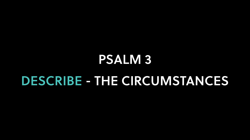### PSALM 3 DESCRIBE - THE CIRCUMSTANCES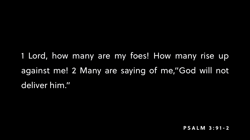**PSALM 3 :91-2**

1 Lord, how many are my foes! How many rise up against me! 2 Many are saying of me,"God will not deliver him."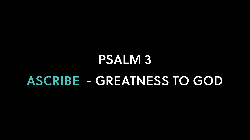### PSALM 3 ASCRIBE - GREATNESS TO GOD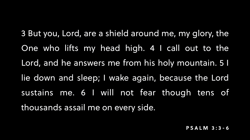**PSALM 3:3-6**

- 3 But you, Lord, are a shield around me, my glory, the
- One who lifts my head high. 4 I call out to the
- Lord, and he answers me from his holy mountain. 5 I
- lie down and sleep; I wake again, because the Lord
- sustains me. 6 I will not fear though tens of
	-

thousands assail me on every side.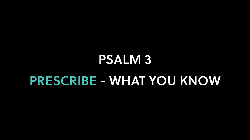### PSALM 3 PRESCRIBE - WHAT YOU KNOW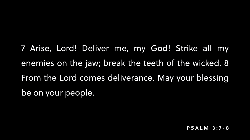#### **PSALM 3: 7-8**

7 Arise, Lord! Deliver me, my God! Strike all my enemies on the jaw; break the teeth of the wicked. 8 From the Lord comes deliverance. May your blessing be on your people.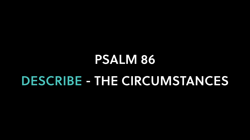### PSALM 86 DESCRIBE - THE CIRCUMSTANCES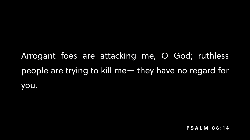**PSALM 86:14**

Arrogant foes are atacking me, O God; ruthless people are trying to kill me— they have no regard for

# you.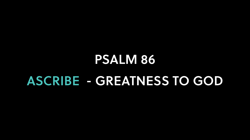### PSALM 86 ASCRIBE - GREATNESS TO GOD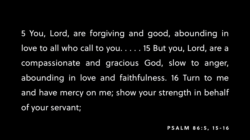**PSALM 86: 5, 15-16**

- 5 You, Lord, are forgiving and good, abounding in love to all who call to you...... 15 But you, Lord, are a compassionate and gracious God, slow to anger,
- abounding in love and faithfulness. 16 Turn to me
- and have mercy on me; show your strength in behalf

of your servant;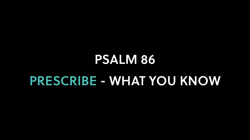### PSALM 86 PRESCRIBE - WHAT YOU KNOW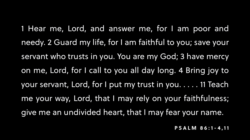**PSALM 86:1-4,11**

- 1 Hear me, Lord, and answer me, for I am poor and
- needy. 2 Guard my life, for I am faithful to you; save your
- servant who trusts in you. You are my God; 3 have mercy
- on me, Lord, for I call to you all day long. 4 Bring joy to
- your servant, Lord, for I put my trust in you. . . . . 11 Teach
- me your way, Lord, that I may rely on your faithfulness;
- give me an undivided heart, that I may fear your name.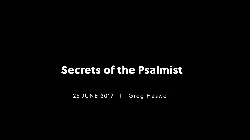25 JUNE 2017 I Greg Haswell

### Secrets of the Psalmist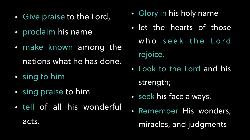- Give praise to the Lord,
- proclaim his name
- make known among the nations what he has done.
- sing to him
- sing praise to him
- tell of all his wonderful

acts.

- Glory in his holy name
- let the hearts of those who seek the Lord rejoice.
- Look to the Lord and his strength;
- seek his face always.
- Remember His wonders, miracles, and judgments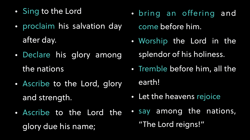- Sing to the Lord
- proclaim his salvation day after day.
- Declare his glory among the nations
- Ascribe to the Lord, glory and strength.
- Ascribe to the Lord the glory due his name;
- bring an offering and come before him.
- Worship the Lord in the splendor of his holiness.
- Tremble before him, all the earth!
- Let the heavens rejoice
- say among the nations, "The Lord reigns!"